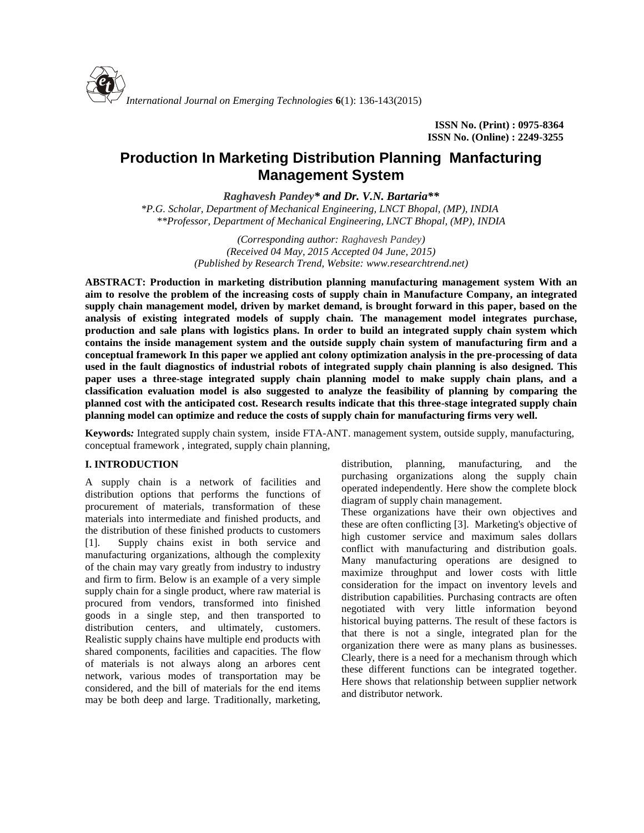**ISSN No. (Print) : 0975-8364 ISSN No. (Online) : 2249-3255**

# **Production In Marketing Distribution Planning Manfacturing Management System**

*Raghavesh Pandey\* and Dr. V.N. Bartaria\*\**

*\*P.G. Scholar, Department of Mechanical Engineering, LNCT Bhopal, (MP), INDIA \*\*Professor, Department of Mechanical Engineering, LNCT Bhopal, (MP), INDIA*

> *(Corresponding author: Raghavesh Pandey) (Received 04 May, 2015 Accepted 04 June, 2015) (Published by Research Trend, Website: [www.researchtrend.net\)](www.researchtrend.net)*

**ABSTRACT: Production in marketing distribution planning manufacturing management system With an aim to resolve the problem of the increasing costs of supply chain in Manufacture Company, an integrated supply chain management model, driven by market demand, is brought forward in this paper, based on the analysis of existing integrated models of supply chain. The management model integrates purchase, production and sale plans with logistics plans. In order to build an integrated supply chain system which contains the inside management system and the outside supply chain system of manufacturing firm and a conceptual framework In this paper we applied ant colony optimization analysis in the pre-processing of data used in the fault diagnostics of industrial robots of integrated supply chain planning is also designed. This paper uses a three-stage integrated supply chain planning model to make supply chain plans, and a classification evaluation model is also suggested to analyze the feasibility of planning by comparing the planned cost with the anticipated cost. Research results indicate that this three-stage integrated supply chain planning model can optimize and reduce the costs of supply chain for manufacturing firms very well.**

**Keywords***:* Integrated supply chain system, inside FTA-ANT. management system, outside supply, manufacturing, conceptual framework , integrated, supply chain planning,

# **I. INTRODUCTION**

A supply chain is a network of facilities and distribution options that performs the functions of procurement of materials, transformation of these materials into intermediate and finished products, and the distribution of these finished products to customers [1]. Supply chains exist in both service and manufacturing organizations, although the complexity of the chain may vary greatly from industry to industry and firm to firm. Below is an example of a very simple supply chain for a single product, where raw material is procured from vendors, transformed into finished goods in a single step, and then transported to distribution centers, and ultimately, customers. Realistic supply chains have multiple end products with shared components, facilities and capacities. The flow of materials is not always along an arbores cent network, various modes of transportation may be considered, and the bill of materials for the end items may be both deep and large. Traditionally, marketing, distribution, planning, manufacturing, and the purchasing organizations along the supply chain operated independently. Here show the complete block diagram of supply chain management.

These organizations have their own objectives and these are often conflicting [3]. Marketing's objective of high customer service and maximum sales dollars conflict with manufacturing and distribution goals. Many manufacturing operations are designed to maximize throughput and lower costs with little consideration for the impact on inventory levels and distribution capabilities. Purchasing contracts are often negotiated with very little information beyond historical buying patterns. The result of these factors is that there is not a single, integrated plan for the organization there were as many plans as businesses. Clearly, there is a need for a mechanism through which these different functions can be integrated together. Here shows that relationship between supplier network and distributor network.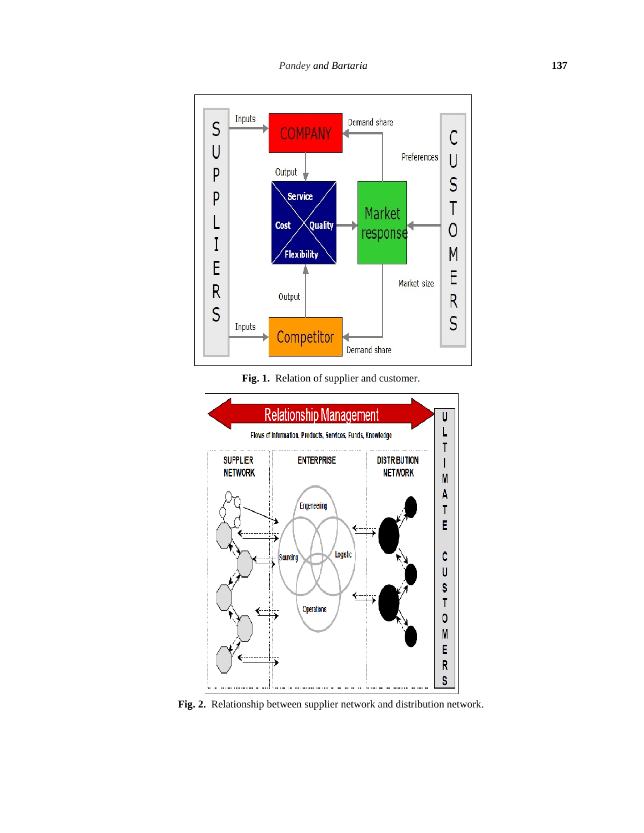

**Fig. 1.** Relation of supplier and customer.



**Fig. 2.** Relationship between supplier network and distribution network.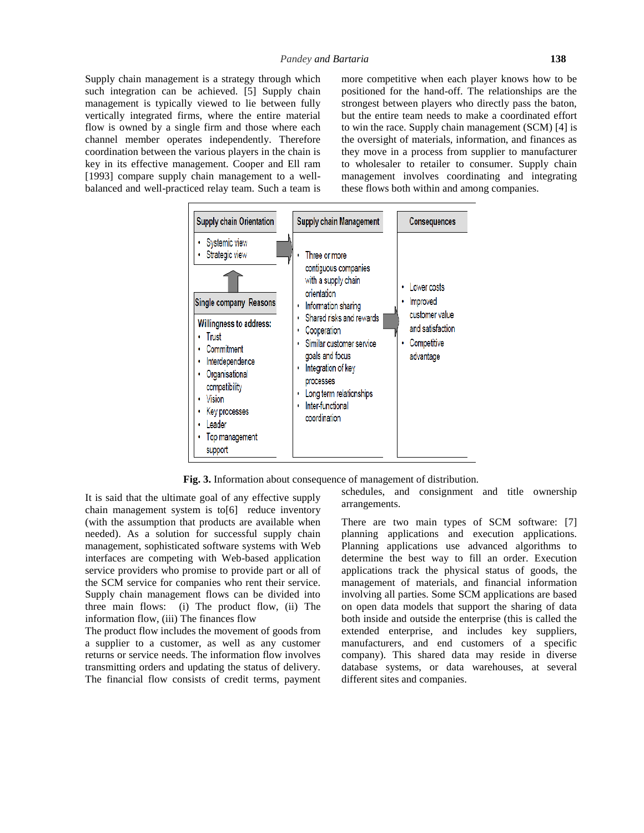Supply chain management is a strategy through which such integration can be achieved. [5] Supply chain management is typically viewed to lie between fully vertically integrated firms, where the entire material flow is owned by a single firm and those where each channel member operates independently. Therefore coordination between the various players in the chain is key in its effective management. Cooper and Ell ram [1993] compare supply chain management to a wellbalanced and well-practiced relay team. Such a team is more competitive when each player knows how to be positioned for the hand-off. The relationships are the strongest between players who directly pass the baton, but the entire team needs to make a coordinated effort to win the race. Supply chain management (SCM) [4] is the oversight of materials, information, and finances as they move in a process from supplier to manufacturer to wholesaler to retailer to consumer. Supply chain management involves coordinating and integrating these flows both within and among companies.



**Fig. 3.** Information about consequence of management of distribution.

It is said that the ultimate goal of any effective supply chain management system is to[6] reduce inventory (with the assumption that products are available when needed). As a solution for successful supply chain management, sophisticated software systems with Web interfaces are competing with Web-based application service providers who promise to provide part or all of the SCM service for companies who rent their service. Supply chain management flows can be divided into three main flows: (i) The product flow, (ii) The information flow, (iii) The finances flow

The product flow includes the movement of goods from a supplier to a customer, as well as any customer returns or service needs. The information flow involves transmitting orders and updating the status of delivery. The financial flow consists of credit terms, payment schedules, and consignment and title ownership arrangements.

There are two main types of SCM software: [7] planning applications and execution applications. Planning applications use advanced algorithms to determine the best way to fill an order. Execution applications track the physical status of goods, the management of materials, and financial information involving all parties. Some SCM applications are based on open data models that support the sharing of data both inside and outside the enterprise (this is called the extended enterprise, and includes key suppliers, manufacturers, and end customers of a specific company). This shared data may reside in diverse database systems, or data warehouses, at several different sites and companies.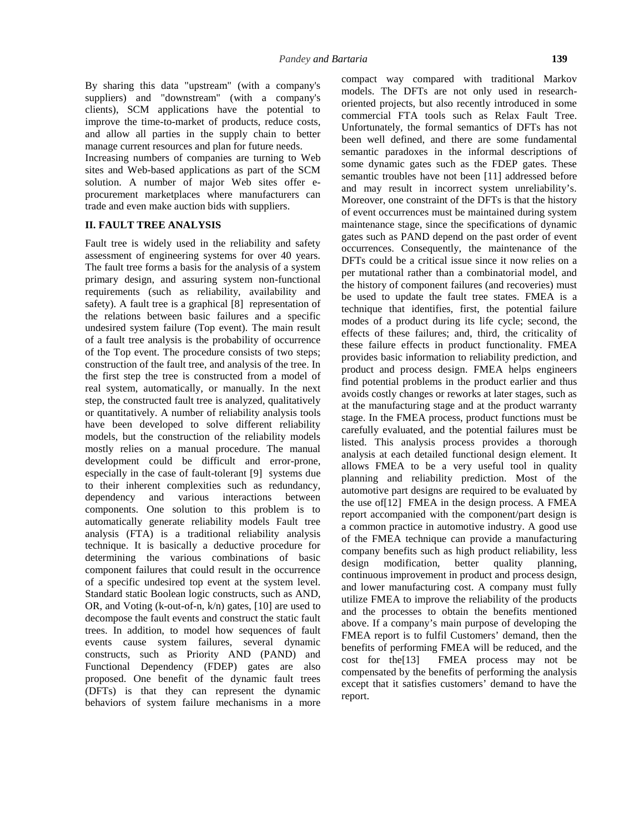By sharing this data "upstream" (with a company's suppliers) and "downstream" (with a company's clients), SCM applications have the potential to improve the time-to-market of products, reduce costs, and allow all parties in the supply chain to better manage current resources and plan for future needs.

Increasing numbers of companies are turning to Web sites and Web-based applications as part of the SCM solution. A number of major Web sites offer e procurement marketplaces where manufacturers can trade and even make auction bids with suppliers.

## **II. FAULT TREE ANALYSIS**

Fault tree is widely used in the reliability and safety assessment of engineering systems for over 40 years. The fault tree forms a basis for the analysis of a system primary design, and assuring system non-functional requirements (such as reliability, availability and safety). A fault tree is a graphical [8] representation of the relations between basic failures and a specific undesired system failure (Top event). The main result of a fault tree analysis is the probability of occurrence of the Top event. The procedure consists of two steps; construction of the fault tree, and analysis of the tree. In the first step the tree is constructed from a model of real system, automatically, or manually. In the next step, the constructed fault tree is analyzed, qualitatively or quantitatively. A number of reliability analysis tools have been developed to solve different reliability models, but the construction of the reliability models mostly relies on a manual procedure. The manual development could be difficult and error-prone, especially in the case of fault-tolerant [9] systems due to their inherent complexities such as redundancy, dependency and various interactions between components. One solution to this problem is to automatically generate reliability models Fault tree analysis (FTA) is a traditional reliability analysis technique. It is basically a deductive procedure for determining the various combinations of basic design component failures that could result in the occurrence of a specific undesired top event at the system level. Standard static Boolean logic constructs, such as AND, OR, and Voting (k-out-of-n, k/n) gates, [10] are used to decompose the fault events and construct the static fault trees. In addition, to model how sequences of fault events cause system failures, several dynamic constructs, such as Priority AND (PAND) and cost for the [13] Functional Dependency (FDEP) gates are also proposed. One benefit of the dynamic fault trees (DFTs) is that they can represent the dynamic behaviors of system failure mechanisms in a more

compact way compared with traditional Markov models. The DFTs are not only used in research oriented projects, but also recently introduced in some commercial FTA tools such as Relax Fault Tree. Unfortunately, the formal semantics of DFTs has not been well defined, and there are some fundamental semantic paradoxes in the informal descriptions of some dynamic gates such as the FDEP gates. These semantic troubles have not been [11] addressed before and may result in incorrect system unreliability's. Moreover, one constraint of the DFTs is that the history of event occurrences must be maintained during system maintenance stage, since the specifications of dynamic gates such as PAND depend on the past order of event occurrences. Consequently, the maintenance of the DFTs could be a critical issue since it now relies on a per mutational rather than a combinatorial model, and the history of component failures (and recoveries) must be used to update the fault tree states. FMEA is a technique that identifies, first, the potential failure modes of a product during its life cycle; second, the effects of these failures; and, third, the criticality of these failure effects in product functionality. FMEA provides basic information to reliability prediction, and product and process design. FMEA helps engineers find potential problems in the product earlier and thus avoids costly changes or reworks at later stages, such as at the manufacturing stage and at the product warranty stage. In the FMEA process, product functions must be carefully evaluated, and the potential failures must be listed. This analysis process provides a thorough analysis at each detailed functional design element. It allows FMEA to be a very useful tool in quality planning and reliability prediction. Most of the automotive part designs are required to be evaluated by the use of[12] FMEA in the design process. A FMEA report accompanied with the component/part design is a common practice in automotive industry. A good use of the FMEA technique can provide a manufacturing company benefits such as high product reliability, less modification, better quality planning, continuous improvement in product and process design, and lower manufacturing cost. A company must fully utilize FMEA to improve the reliability of the products and the processes to obtain the benefits mentioned above. If a company's main purpose of developing the FMEA report is to fulfil Customers' demand, then the benefits of performing FMEA will be reduced, and the FMEA process may not be compensated by the benefits of performing the analysis except that it satisfies customers' demand to have the report.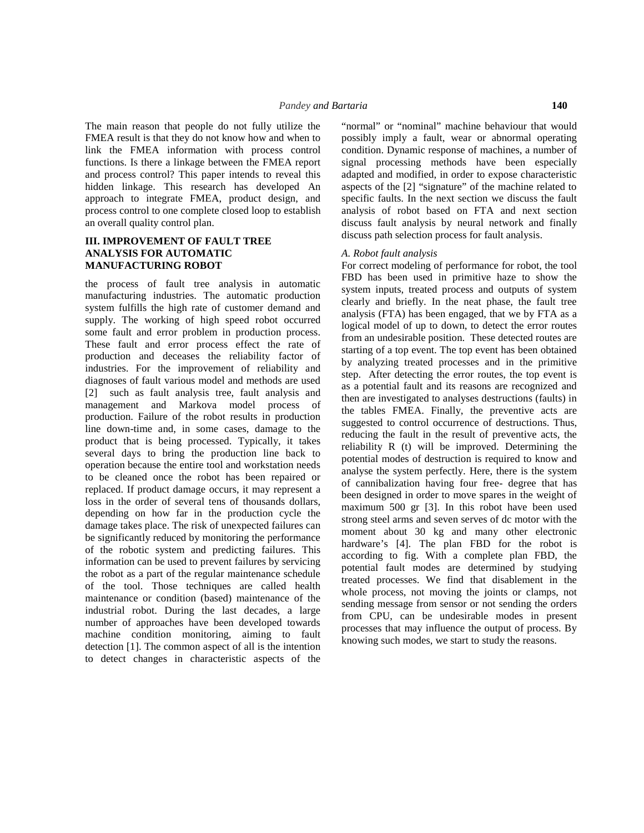The main reason that people do not fully utilize the FMEA result is that they do not know how and when to link the FMEA information with process control functions. Is there a linkage between the FMEA report and process control? This paper intends to reveal this hidden linkage. This research has developed An approach to integrate FMEA, product design, and process control to one complete closed loop to establish an overall quality control plan.

## **III. IMPROVEMENT OF FAULT TREE ANALYSIS FOR AUTOMATIC MANUFACTURING ROBOT**

the process of fault tree analysis in automatic manufacturing industries. The automatic production system fulfills the high rate of customer demand and supply. The working of high speed robot occurred some fault and error problem in production process. These fault and error process effect the rate of production and deceases the reliability factor of industries. For the improvement of reliability and diagnoses of fault various model and methods are used [2] such as fault analysis tree, fault analysis and management and Markova model process of production. Failure of the robot results in production line down-time and, in some cases, damage to the product that is being processed. Typically, it takes several days to bring the production line back to operation because the entire tool and workstation needs to be cleaned once the robot has been repaired or replaced. If product damage occurs, it may represent a loss in the order of several tens of thousands dollars, depending on how far in the production cycle the damage takes place. The risk of unexpected failures can be significantly reduced by monitoring the performance of the robotic system and predicting failures. This information can be used to prevent failures by servicing the robot as a part of the regular maintenance schedule of the tool. Those techniques are called health maintenance or condition (based) maintenance of the industrial robot. During the last decades, a large number of approaches have been developed towards machine condition monitoring, aiming to fault detection [1]. The common aspect of all is the intention to detect changes in characteristic aspects of the

"normal" or "nominal" machine behaviour that would possibly imply a fault, wear or abnormal operating condition. Dynamic response of machines, a number of signal processing methods have been especially adapted and modified, in order to expose characteristic aspects of the [2] "signature" of the machine related to specific faults. In the next section we discuss the fault analysis of robot based on FTA and next section discuss fault analysis by neural network and finally discuss path selection process for fault analysis.

#### *A. Robot fault analysis*

For correct modeling of performance for robot, the tool FBD has been used in primitive haze to show the system inputs, treated process and outputs of system clearly and briefly. In the neat phase, the fault tree analysis (FTA) has been engaged, that we by FTA as a logical model of up to down, to detect the error routes from an undesirable position. These detected routes are starting of a top event. The top event has been obtained by analyzing treated processes and in the primitive step. After detecting the error routes, the top event is as a potential fault and its reasons are recognized and then are investigated to analyses destructions (faults) in the tables FMEA. Finally, the preventive acts are suggested to control occurrence of destructions. Thus, reducing the fault in the result of preventive acts, the reliability R (t) will be improved. Determining the potential modes of destruction is required to know and analyse the system perfectly. Here, there is the system of cannibalization having four free- degree that has been designed in order to move spares in the weight of maximum 500 gr [3]. In this robot have been used strong steel arms and seven serves of dc motor with the moment about 30 kg and many other electronic hardware's [4]. The plan FBD for the robot is according to fig. With a complete plan FBD, the potential fault modes are determined by studying treated processes. We find that disablement in the whole process, not moving the joints or clamps, not sending message from sensor or not sending the orders from CPU, can be undesirable modes in present processes that may influence the output of process. By knowing such modes, we start to study the reasons.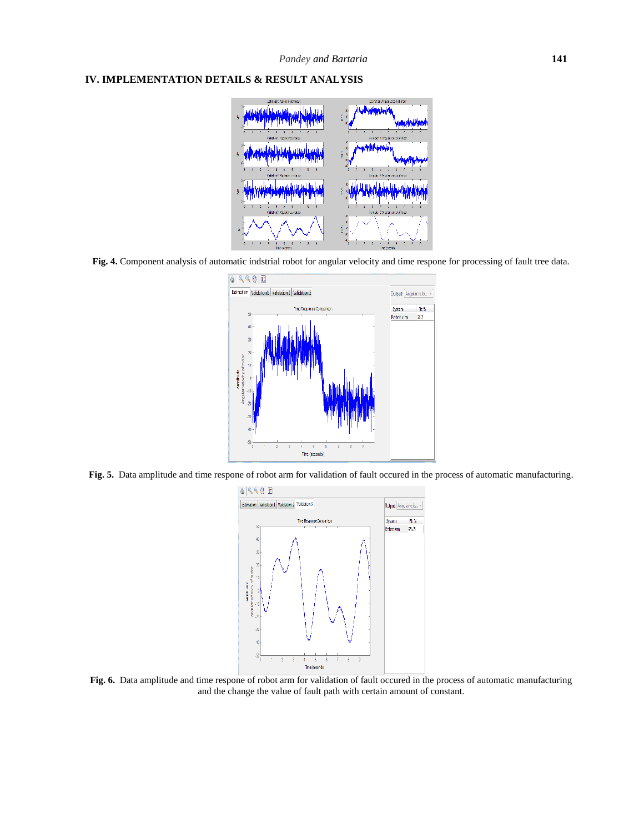## **IV. IMPLEMENTATION DETAILS & RESULT ANALYSIS**



**Fig. 4.** Component analysis of automatic indstrial robot for angular velocity and time respone for processing of fault tree data.



**Fig. 5.** Data amplitude and time respone of robot arm for validation of fault occured in the process of automatic manufacturing.



**Fig. 6.** Data amplitude and time respone of robot arm for validation of fault occured in the process of automatic manufacturing and the change the value of fault path with certain amount of constant.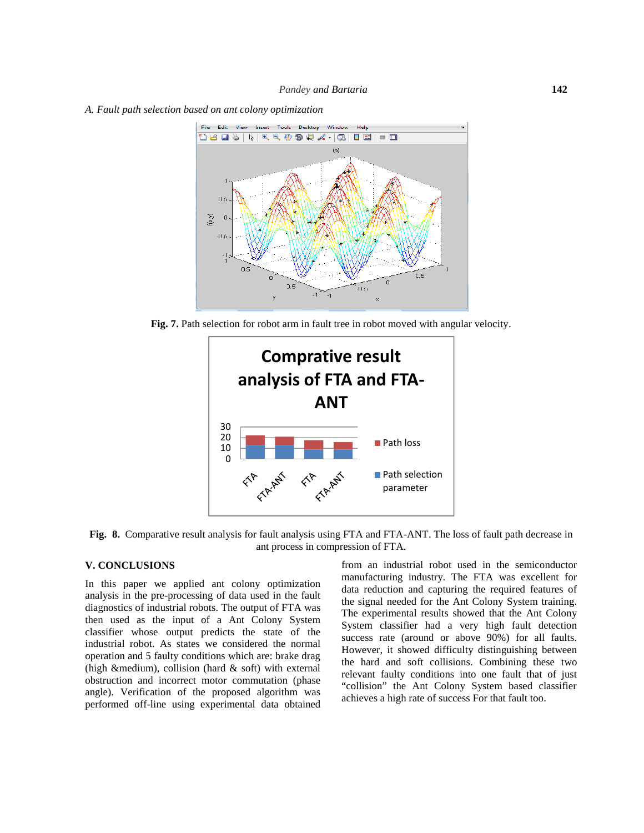*A. Fault path selection based on ant colony optimization*



**Fig. 7.** Path selection for robot arm in fault tree in robot moved with angular velocity.



**Fig. 8.** Comparative result analysis for fault analysis using FTA and FTA-ANT. The loss of fault path decrease in ant process in compression of FTA.

#### **V. CONCLUSIONS**

In this paper we applied ant colony optimization analysis in the pre-processing of data used in the fault diagnostics of industrial robots. The output of FTA was then used as the input of a Ant Colony System classifier whose output predicts the state of the industrial robot. As states we considered the normal operation and 5 faulty conditions which are: brake drag (high &medium), collision (hard  $&$  soft) with external obstruction and incorrect motor commutation (phase angle). Verification of the proposed algorithm was performed off-line using experimental data obtained from an industrial robot used in the semiconductor manufacturing industry. The FTA was excellent for data reduction and capturing the required features of the signal needed for the Ant Colony System training. The experimental results showed that the Ant Colony System classifier had a very high fault detection success rate (around or above 90%) for all faults. However, it showed difficulty distinguishing between the hard and soft collisions. Combining these two relevant faulty conditions into one fault that of just "collision" the Ant Colony System based classifier achieves a high rate of success For that fault too.